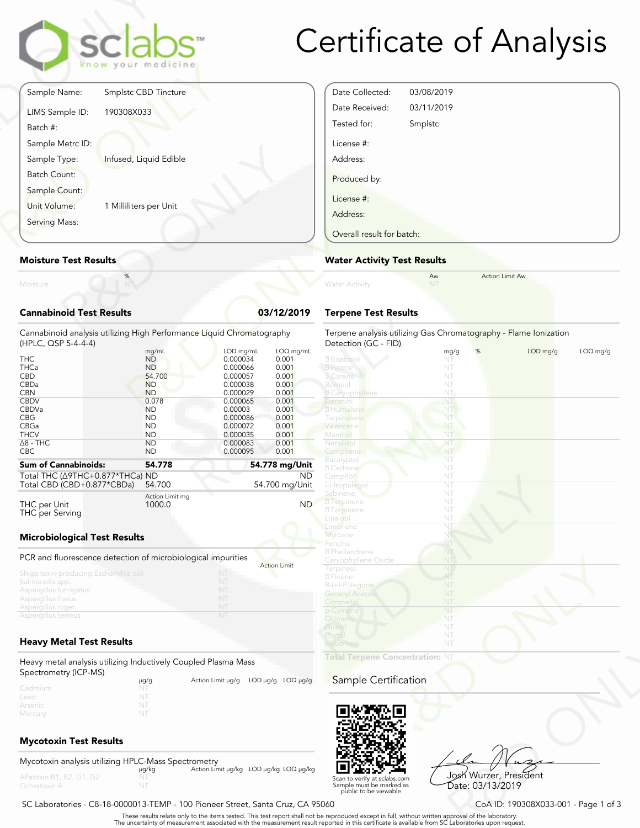

## Certificate of Analysis

Date Collected: 03/08/2019 Date Received: 03/11/2019 Tested for: Smplstc

License #: Address:

Produced by: License #: Address:

|                                 | clabs <sup>®</sup><br>know your medicine |            |
|---------------------------------|------------------------------------------|------------|
| Sample Name:                    | Smplstc CBD Tincture                     |            |
| LIMS Sample ID:<br>Batch #:     | 190308X033                               |            |
| Sample Metrc ID:                |                                          |            |
| Sample Type:                    | Infused, Liquid Edible                   |            |
| <b>Batch Count:</b>             |                                          |            |
| Sample Count:                   |                                          |            |
| Unit Volume:                    | 1 Milliliters per Unit                   |            |
| Serving Mass:                   |                                          |            |
| <b>Moisture Test Results</b>    |                                          |            |
| Moisture                        | $\%$                                     |            |
| <b>Cannabinoid Test Results</b> |                                          | 03/12/2019 |

#### **Moisture Test Results**

| Moisture                                                                                                                          |                                                                                                                                  |                                                                                                                                  |                                                                                                     |
|-----------------------------------------------------------------------------------------------------------------------------------|----------------------------------------------------------------------------------------------------------------------------------|----------------------------------------------------------------------------------------------------------------------------------|-----------------------------------------------------------------------------------------------------|
| <b>Cannabinoid Test Results</b>                                                                                                   |                                                                                                                                  |                                                                                                                                  | 03/12/2019                                                                                          |
| Cannabinoid analysis utilizing High Performance Liquid Chromatography<br>(HPLC, QSP 5-4-4-4)                                      |                                                                                                                                  |                                                                                                                                  |                                                                                                     |
| <b>THC</b><br>THCa<br><b>CBD</b><br>CBDa<br><b>CBN</b><br><b>CBDV</b><br><b>CBDVa</b><br><b>CBG</b><br><b>CBGa</b><br><b>THCV</b> | mg/mL<br><b>ND</b><br><b>ND</b><br>54.700<br><b>ND</b><br><b>ND</b><br>0.078<br><b>ND</b><br><b>ND</b><br><b>ND</b><br><b>ND</b> | LOD mg/mL<br>0.000034<br>0.000066<br>0.000057<br>0.000038<br>0.000029<br>0.000065<br>0.00003<br>0.000086<br>0.000072<br>0.000035 | LOQ mg/mL<br>0.001<br>0.001<br>0.001<br>0.001<br>0.001<br>0.001<br>0.001<br>0.001<br>0.001<br>0.001 |
| $\Delta$ 8 - THC<br>CBC.                                                                                                          | ND.<br><b>ND</b>                                                                                                                 | 0.000083<br>0.000095                                                                                                             | 0.001<br>0.001                                                                                      |
| <b>Sum of Cannabinoids:</b><br>Total THC (A9THC+0.877*THCa) ND<br>Total CBD (CBD+0.877*CBDa)                                      | 54.778<br>54.700                                                                                                                 |                                                                                                                                  | 54.778 mg/Unit<br>ND.<br>54.700 mg/Unit                                                             |
| THC per Unit<br>THC per Serving                                                                                                   | Action Limit mg<br>1000.0                                                                                                        |                                                                                                                                  | <b>ND</b>                                                                                           |
| <b>Microbiological Test Results</b>                                                                                               |                                                                                                                                  |                                                                                                                                  |                                                                                                     |
| PCR and fluorescence detection of microbiological impurities<br>Shiga toxin-producing Escherichia coli<br>Salmonella spp.         |                                                                                                                                  | NT<br>NT                                                                                                                         | <b>Action Limit</b>                                                                                 |
| Aspergillus fumigatus<br>Aspergillus flavus<br>Aspergillus niger<br>Aspergillus terreus                                           |                                                                                                                                  | NT<br>NT<br>NT<br>NT                                                                                                             |                                                                                                     |
| <b>Heavy Metal Test Results</b>                                                                                                   |                                                                                                                                  |                                                                                                                                  |                                                                                                     |
| Heavy metal analysis utilizing Inductively Coupled Plasma Mass                                                                    |                                                                                                                                  |                                                                                                                                  |                                                                                                     |

|                                                                                                                                               |                                                                                                                                                                                                                                                              | Overall result for batch:                                                                                                                              |                                                                               |                        |          |
|-----------------------------------------------------------------------------------------------------------------------------------------------|--------------------------------------------------------------------------------------------------------------------------------------------------------------------------------------------------------------------------------------------------------------|--------------------------------------------------------------------------------------------------------------------------------------------------------|-------------------------------------------------------------------------------|------------------------|----------|
|                                                                                                                                               |                                                                                                                                                                                                                                                              | <b>Water Activity Test Results</b>                                                                                                                     |                                                                               |                        |          |
|                                                                                                                                               |                                                                                                                                                                                                                                                              | <b>Water Activity</b>                                                                                                                                  | Aw<br>NT                                                                      | <b>Action Limit Aw</b> |          |
| ts                                                                                                                                            | 03/12/2019                                                                                                                                                                                                                                                   | <b>Terpene Test Results</b>                                                                                                                            |                                                                               |                        |          |
|                                                                                                                                               | g High Performance Liquid Chromatography                                                                                                                                                                                                                     | Terpene analysis utilizing Gas Chromatography - Flame Ionization<br>Detection (GC - FID)                                                               |                                                                               |                        |          |
| mg/mL<br><b>ND</b><br><b>ND</b><br>54.700<br><b>ND</b><br><b>ND</b><br>0.078<br><b>ND</b><br><b>ND</b><br><b>ND</b><br><b>ND</b><br><b>ND</b> | LOD mg/mL<br>LOQ mg/mL<br>0.001<br>0.000034<br>0.000066<br>0.001<br>0.001<br>0.000057<br>0.000038<br>0.001<br>0.001<br>0.000029<br>0.000065<br>0.001<br>0.001<br>0.00003<br>0.001<br>0.000086<br>0.001<br>0.000072<br>0.001<br>0.000035<br>0.001<br>0.000083 | <b>Z</b> Bisabolol<br>2 Pinene<br>3 Carene<br>Borneol<br>2 Caryophyllene<br>Geraniol<br>2 Humulene<br>Terpinolene<br>Valencene<br>Menthol<br>Nerolidol | %<br>mg/g<br>NT<br>NT<br>NT<br>NT<br>NT<br>NT<br>NT  <br>NT<br>NT<br>NT<br>NT | LOD mg/g               | LOQ mg/g |
| <b>ND</b>                                                                                                                                     | 0.000095<br>0.001                                                                                                                                                                                                                                            | Camphene<br>Eucalyptol                                                                                                                                 | NT<br>NT                                                                      |                        |          |
| 54.778<br>HCa) ND<br>54.700<br>Ca)                                                                                                            | 54.778 mg/Unit<br>ND.<br>54.700 mg/Unit                                                                                                                                                                                                                      | 2 Cedrene<br>Camphor<br>(-)-Isopulegol                                                                                                                 | NT<br>NT<br>NT                                                                |                        |          |
| Action Limit mg<br>1000.0<br>sults                                                                                                            | ND <sup>1</sup>                                                                                                                                                                                                                                              | Sabinene<br><b>7</b> Terpinene<br><b>7</b> Terpinene<br>Linalool<br>Limonene<br>Myrcene<br>Fenchol                                                     | NT<br>NT<br>NT<br>NT<br>NT<br>NT<br>NT                                        |                        |          |
| tion of microbiological impurities<br>ia coli                                                                                                 | <b>Action Limit</b><br>NT.<br>NT<br>NT<br>NT                                                                                                                                                                                                                 | <b>2</b> Phellandrene<br>Caryophyllene Oxide<br>Terpineol<br>2 Pinene<br>R-(+)-Pulegone<br><b>Geranyl Acetate</b>                                      | NT<br>NT<br>NT<br>NT<br>NT<br>NT                                              |                        |          |
| ts                                                                                                                                            | NT<br>NT                                                                                                                                                                                                                                                     | Citronellol<br>p-Cymene<br>Ocimene<br>Guaiol<br>Phytol<br>Isoborneol                                                                                   | NT<br>NT<br>NT<br>NT<br>NT<br>NT                                              |                        |          |
| g Inductively Coupled Plasma Mass                                                                                                             |                                                                                                                                                                                                                                                              | Total Terpene Concentration: NT                                                                                                                        |                                                                               |                        |          |
| µg/g<br>NT<br>NT                                                                                                                              | Action Limit µg/g LOD µg/g LOQ µg/g                                                                                                                                                                                                                          | Sample Certification                                                                                                                                   |                                                                               |                        |          |
| NT<br>NT                                                                                                                                      |                                                                                                                                                                                                                                                              |                                                                                                                                                        |                                                                               |                        |          |



VT<br>
VT<br>
Josh Wurzer, President<br>
Date: 03/13/2019<br>
CoA ID: 190308X033-001 - Page 1 of 3<br>
pproval of the laboratories upon request. Josh Wurzer, President

Scan to verify at sclabs.com Sample must be marked as public to be viewable

SC Laboratories - C8-18-0000013-TEMP - 100 Pioneer Street, Santa Cruz, CA 95060 CoA ID: 190308X033-001 - Page 1 of 3

. These results relate only to the items tested. This test report shall not be reproduced except in full, without written approval of the laboratory.<br>The uncertainty of measurement associated with the measurement result re

#### Spectrometry (ICP-MS) μg/g Action Limit μg/g LOD μg/g LOQ μg/g Lead

#### **Mycotoxin Test Results**

Mercury

Mycotoxin analysis utilizing HPLC-Mass Spectrometry μg/kg Action Limit μg/kg LOD μg/kg LOQ μg/kg NT Aflatoxin B1, B2, G1, G2

Date: 03/13/2019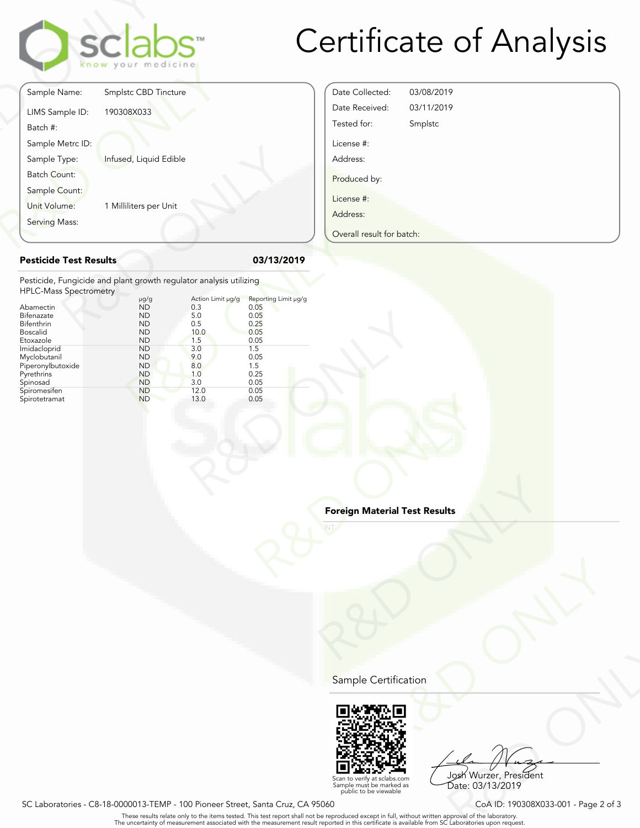

## Certificate of Analysis

|                               | clabs<br>know your medicine                                        |                          |                              |
|-------------------------------|--------------------------------------------------------------------|--------------------------|------------------------------|
| Sample Name:                  | Smplstc CBD Tincture                                               |                          |                              |
| LIMS Sample ID:<br>Batch #:   | 190308X033                                                         |                          |                              |
| Sample Metrc ID:              |                                                                    |                          |                              |
| Sample Type:                  | Infused, Liquid Edible                                             |                          |                              |
| <b>Batch Count:</b>           |                                                                    |                          |                              |
| Sample Count:                 |                                                                    |                          |                              |
| Unit Volume:                  | 1 Milliliters per Unit                                             |                          |                              |
| Serving Mass:                 |                                                                    |                          |                              |
| <b>Pesticide Test Results</b> |                                                                    |                          | 03/13/2019                   |
| <b>HPLC-Mass Spectrometry</b> | Pesticide, Fungicide and plant growth regulator analysis utilizing |                          |                              |
| Abamectin                     | $\mu$ g/g<br><b>ND</b>                                             | Action Limit µg/g<br>0.3 | Reporting Limit µg/g<br>0.05 |
| Bifenazate<br>Bifenthrin      | <b>ND</b><br><b>ND</b>                                             | 5.0<br>0.5               | 0.05<br>0.25                 |
| $D = - - 11$                  | $\overline{N}$                                                     | 10 <sub>0</sub>          | 0.05                         |

### Date Collected: 03/08/2019 Date Received: 03/11/2019 Tested for: Smplstc License #: Address: Produced by: License #: Address: Overall result for batch:

#### **Pesticide Test Results 03/13/2019**

|                                                                                                                                                                                                                        |                                                                                                                                                                                                                                             |                                                                                                          |                                                                                                                    | Overall result for batch: |
|------------------------------------------------------------------------------------------------------------------------------------------------------------------------------------------------------------------------|---------------------------------------------------------------------------------------------------------------------------------------------------------------------------------------------------------------------------------------------|----------------------------------------------------------------------------------------------------------|--------------------------------------------------------------------------------------------------------------------|---------------------------|
| <b>Pesticide Test Results</b>                                                                                                                                                                                          |                                                                                                                                                                                                                                             |                                                                                                          | 03/13/2019                                                                                                         |                           |
| <b>HPLC-Mass Spectrometry</b><br>Abamectin<br>Bifenazate<br>Bifenthrin<br><b>Boscalid</b><br>Etoxazole<br>Imidacloprid<br>Myclobutanil<br>Piperonylbutoxide<br>Pyrethrins<br>Spinosad<br>Spiromesifen<br>Spirotetramat | Pesticide, Fungicide and plant growth regulator analysis utilizing<br>$\mu$ g/g<br><b>ND</b><br><b>ND</b><br><b>ND</b><br><b>ND</b><br><b>ND</b><br><b>ND</b><br><b>ND</b><br><b>ND</b><br><b>ND</b><br><b>ND</b><br><b>ND</b><br><b>ND</b> | Action Limit µg/g<br>0.3<br>5.0<br>0.5<br>10.0<br>1.5<br>3.0<br>9.0<br>8.0<br>1.0<br>3.0<br>12.0<br>13.0 | Reporting Limit µg/g<br>0.05<br>0.05<br>0.25<br>0.05<br>0.05<br>1.5<br>0.05<br>1.5<br>0.25<br>0.05<br>0.05<br>0.05 |                           |

# Foreign Material Test Results<br>NT<br>NT<br>NT State Results **Read Property Material Test Results Foreign Material Test Results**

Sample Certification



Superior Contract Contract Contract Contract Contract Contract Contract Contract Contract Contract Contract Contract Contract Contract Contract Contract Contract Contract Contract Contract Contract Contract Contract Contra Josh Wurzer, President Date: 03/13/2019

verify at sclabs.com Sample must be marked as public to be viewable

SC Laboratories - C8-18-0000013-TEMP - 100 Pioneer Street, Santa Cruz, CA 95060 CoA ID: 190308X033-001 - Page 2 of 3

. These results relate only to the items tested. This test report shall not be reproduced except in full, without written approval of the laboratory.<br>The uncertainty of measurement associated with the measurement result re